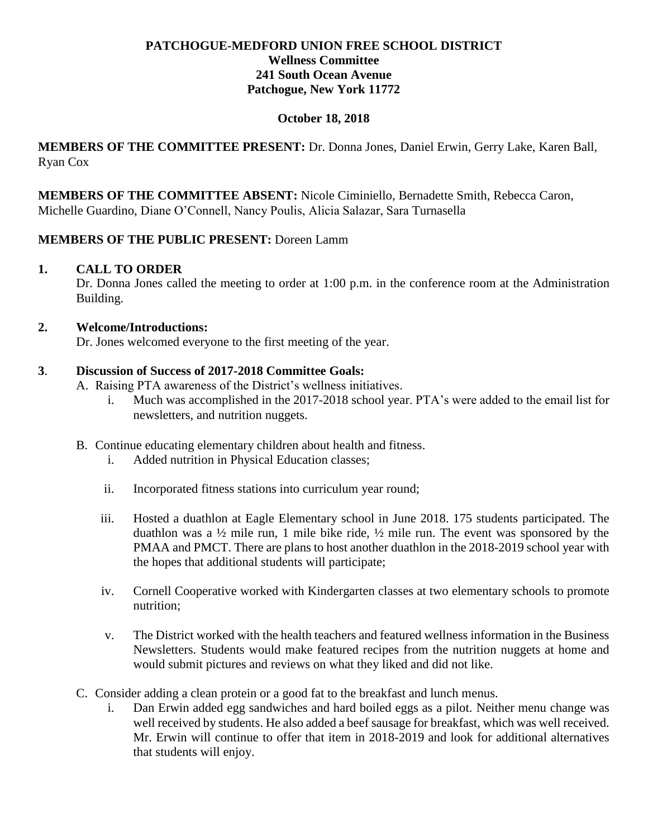# **PATCHOGUE-MEDFORD UNION FREE SCHOOL DISTRICT Wellness Committee 241 South Ocean Avenue Patchogue, New York 11772**

## **October 18, 2018**

**MEMBERS OF THE COMMITTEE PRESENT:** Dr. Donna Jones, Daniel Erwin, Gerry Lake, Karen Ball, Ryan Cox

**MEMBERS OF THE COMMITTEE ABSENT:** Nicole Ciminiello, Bernadette Smith, Rebecca Caron, Michelle Guardino, Diane O'Connell, Nancy Poulis, Alicia Salazar, Sara Turnasella

## **MEMBERS OF THE PUBLIC PRESENT:** Doreen Lamm

### **1. CALL TO ORDER**

Dr. Donna Jones called the meeting to order at 1:00 p.m. in the conference room at the Administration Building.

## **2. Welcome/Introductions:**

Dr. Jones welcomed everyone to the first meeting of the year.

## **3**. **Discussion of Success of 2017-2018 Committee Goals:**

- A. Raising PTA awareness of the District's wellness initiatives.
	- i. Much was accomplished in the 2017-2018 school year. PTA's were added to the email list for newsletters, and nutrition nuggets.
- B. Continue educating elementary children about health and fitness.
	- i. Added nutrition in Physical Education classes;
	- ii. Incorporated fitness stations into curriculum year round;
	- iii. Hosted a duathlon at Eagle Elementary school in June 2018. 175 students participated. The duathlon was a ½ mile run, 1 mile bike ride, ½ mile run. The event was sponsored by the PMAA and PMCT. There are plans to host another duathlon in the 2018-2019 school year with the hopes that additional students will participate;
	- iv. Cornell Cooperative worked with Kindergarten classes at two elementary schools to promote nutrition;
	- v. The District worked with the health teachers and featured wellness information in the Business Newsletters. Students would make featured recipes from the nutrition nuggets at home and would submit pictures and reviews on what they liked and did not like.
- C. Consider adding a clean protein or a good fat to the breakfast and lunch menus.
	- i. Dan Erwin added egg sandwiches and hard boiled eggs as a pilot. Neither menu change was well received by students. He also added a beef sausage for breakfast, which was well received. Mr. Erwin will continue to offer that item in 2018-2019 and look for additional alternatives that students will enjoy.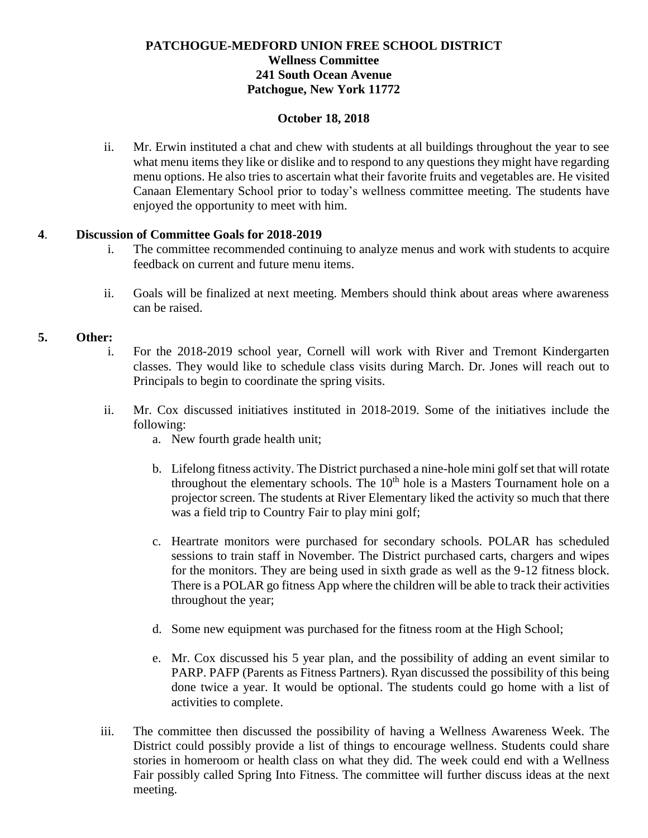# **PATCHOGUE-MEDFORD UNION FREE SCHOOL DISTRICT Wellness Committee 241 South Ocean Avenue Patchogue, New York 11772**

### **October 18, 2018**

ii. Mr. Erwin instituted a chat and chew with students at all buildings throughout the year to see what menu items they like or dislike and to respond to any questions they might have regarding menu options. He also tries to ascertain what their favorite fruits and vegetables are. He visited Canaan Elementary School prior to today's wellness committee meeting. The students have enjoyed the opportunity to meet with him.

# **4**. **Discussion of Committee Goals for 2018-2019**

- i. The committee recommended continuing to analyze menus and work with students to acquire feedback on current and future menu items.
- ii. Goals will be finalized at next meeting. Members should think about areas where awareness can be raised.

### **5. Other:**

- i. For the 2018-2019 school year, Cornell will work with River and Tremont Kindergarten classes. They would like to schedule class visits during March. Dr. Jones will reach out to Principals to begin to coordinate the spring visits.
- ii. Mr. Cox discussed initiatives instituted in 2018-2019. Some of the initiatives include the following:
	- a. New fourth grade health unit;
	- b. Lifelong fitness activity. The District purchased a nine-hole mini golf set that will rotate throughout the elementary schools. The  $10<sup>th</sup>$  hole is a Masters Tournament hole on a projector screen. The students at River Elementary liked the activity so much that there was a field trip to Country Fair to play mini golf;
	- c. Heartrate monitors were purchased for secondary schools. POLAR has scheduled sessions to train staff in November. The District purchased carts, chargers and wipes for the monitors. They are being used in sixth grade as well as the 9-12 fitness block. There is a POLAR go fitness App where the children will be able to track their activities throughout the year;
	- d. Some new equipment was purchased for the fitness room at the High School;
	- e. Mr. Cox discussed his 5 year plan, and the possibility of adding an event similar to PARP. PAFP (Parents as Fitness Partners). Ryan discussed the possibility of this being done twice a year. It would be optional. The students could go home with a list of activities to complete.
- iii. The committee then discussed the possibility of having a Wellness Awareness Week. The District could possibly provide a list of things to encourage wellness. Students could share stories in homeroom or health class on what they did. The week could end with a Wellness Fair possibly called Spring Into Fitness. The committee will further discuss ideas at the next meeting.